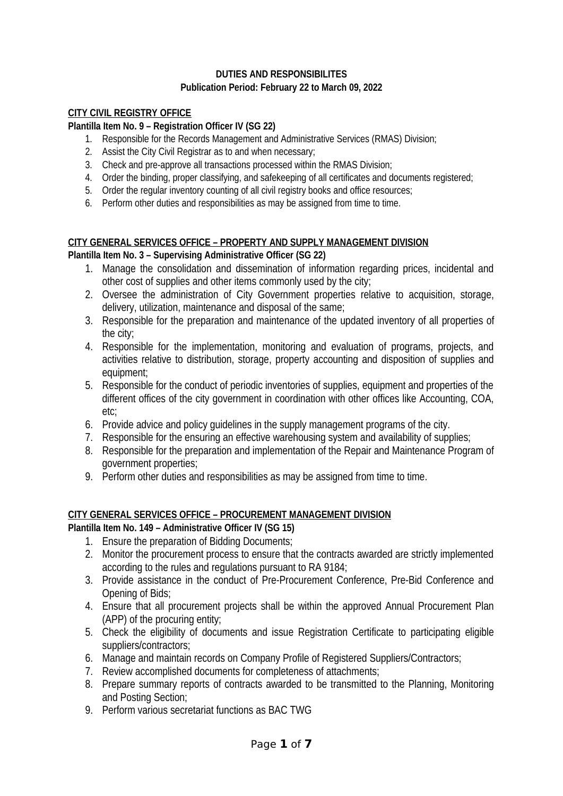## **DUTIES AND RESPONSIBILITES Publication Period: February 22 to March 09, 2022**

## **CITY CIVIL REGISTRY OFFICE**

## **Plantilla Item No. 9 – Registration Officer IV (SG 22)**

- 1. Responsible for the Records Management and Administrative Services (RMAS) Division;
- 2. Assist the City Civil Registrar as to and when necessary;
- 3. Check and pre-approve all transactions processed within the RMAS Division;
- 4. Order the binding, proper classifying, and safekeeping of all certificates and documents registered;
- 5. Order the regular inventory counting of all civil registry books and office resources;
- 6. Perform other duties and responsibilities as may be assigned from time to time.

#### **CITY GENERAL SERVICES OFFICE – PROPERTY AND SUPPLY MANAGEMENT DIVISION Plantilla Item No. 3 – Supervising Administrative Officer (SG 22)**

- 1. Manage the consolidation and dissemination of information regarding prices, incidental and other cost of supplies and other items commonly used by the city;
- 2. Oversee the administration of City Government properties relative to acquisition, storage, delivery, utilization, maintenance and disposal of the same;
- 3. Responsible for the preparation and maintenance of the updated inventory of all properties of the city;
- 4. Responsible for the implementation, monitoring and evaluation of programs, projects, and activities relative to distribution, storage, property accounting and disposition of supplies and equipment;
- 5. Responsible for the conduct of periodic inventories of supplies, equipment and properties of the different offices of the city government in coordination with other offices like Accounting, COA, etc;
- 6. Provide advice and policy guidelines in the supply management programs of the city.
- 7. Responsible for the ensuring an effective warehousing system and availability of supplies;
- 8. Responsible for the preparation and implementation of the Repair and Maintenance Program of government properties;
- 9. Perform other duties and responsibilities as may be assigned from time to time.

## **CITY GENERAL SERVICES OFFICE – PROCUREMENT MANAGEMENT DIVISION**

**Plantilla Item No. 149 – Administrative Officer IV (SG 15)**

- 1. Ensure the preparation of Bidding Documents;
- 2. Monitor the procurement process to ensure that the contracts awarded are strictly implemented according to the rules and regulations pursuant to RA 9184;
- 3. Provide assistance in the conduct of Pre-Procurement Conference, Pre-Bid Conference and Opening of Bids;
- 4. Ensure that all procurement projects shall be within the approved Annual Procurement Plan (APP) of the procuring entity;
- 5. Check the eligibility of documents and issue Registration Certificate to participating eligible suppliers/contractors;
- 6. Manage and maintain records on Company Profile of Registered Suppliers/Contractors;
- 7. Review accomplished documents for completeness of attachments;
- 8. Prepare summary reports of contracts awarded to be transmitted to the Planning, Monitoring and Posting Section;
- 9. Perform various secretariat functions as BAC TWG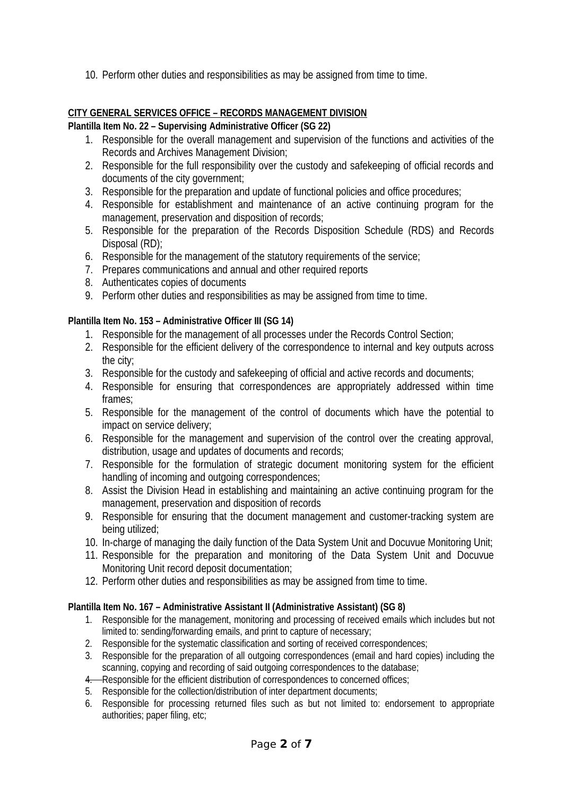10. Perform other duties and responsibilities as may be assigned from time to time.

# **CITY GENERAL SERVICES OFFICE – RECORDS MANAGEMENT DIVISION**

## **Plantilla Item No. 22 – Supervising Administrative Officer (SG 22)**

- 1. Responsible for the overall management and supervision of the functions and activities of the Records and Archives Management Division;
- 2. Responsible for the full responsibility over the custody and safekeeping of official records and documents of the city government;
- 3. Responsible for the preparation and update of functional policies and office procedures;
- 4. Responsible for establishment and maintenance of an active continuing program for the management, preservation and disposition of records;
- 5. Responsible for the preparation of the Records Disposition Schedule (RDS) and Records Disposal (RD);
- 6. Responsible for the management of the statutory requirements of the service;
- 7. Prepares communications and annual and other required reports
- 8. Authenticates copies of documents
- 9. Perform other duties and responsibilities as may be assigned from time to time.

## **Plantilla Item No. 153 – Administrative Officer III (SG 14)**

- 1. Responsible for the management of all processes under the Records Control Section;
- 2. Responsible for the efficient delivery of the correspondence to internal and key outputs across the city;
- 3. Responsible for the custody and safekeeping of official and active records and documents;
- 4. Responsible for ensuring that correspondences are appropriately addressed within time frames;
- 5. Responsible for the management of the control of documents which have the potential to impact on service delivery;
- 6. Responsible for the management and supervision of the control over the creating approval, distribution, usage and updates of documents and records;
- 7. Responsible for the formulation of strategic document monitoring system for the efficient handling of incoming and outgoing correspondences;
- 8. Assist the Division Head in establishing and maintaining an active continuing program for the management, preservation and disposition of records
- 9. Responsible for ensuring that the document management and customer-tracking system are being utilized;
- 10. In-charge of managing the daily function of the Data System Unit and Docuvue Monitoring Unit;
- 11. Responsible for the preparation and monitoring of the Data System Unit and Docuvue Monitoring Unit record deposit documentation;
- 12. Perform other duties and responsibilities as may be assigned from time to time.

## **Plantilla Item No. 167 – Administrative Assistant II (Administrative Assistant) (SG 8)**

- 1. Responsible for the management, monitoring and processing of received emails which includes but not limited to: sending/forwarding emails, and print to capture of necessary;
- 2. Responsible for the systematic classification and sorting of received correspondences;
- 3. Responsible for the preparation of all outgoing correspondences (email and hard copies) including the scanning, copying and recording of said outgoing correspondences to the database;
- 4. Responsible for the efficient distribution of correspondences to concerned offices;
- 5. Responsible for the collection/distribution of inter department documents;
- 6. Responsible for processing returned files such as but not limited to: endorsement to appropriate authorities; paper filing, etc;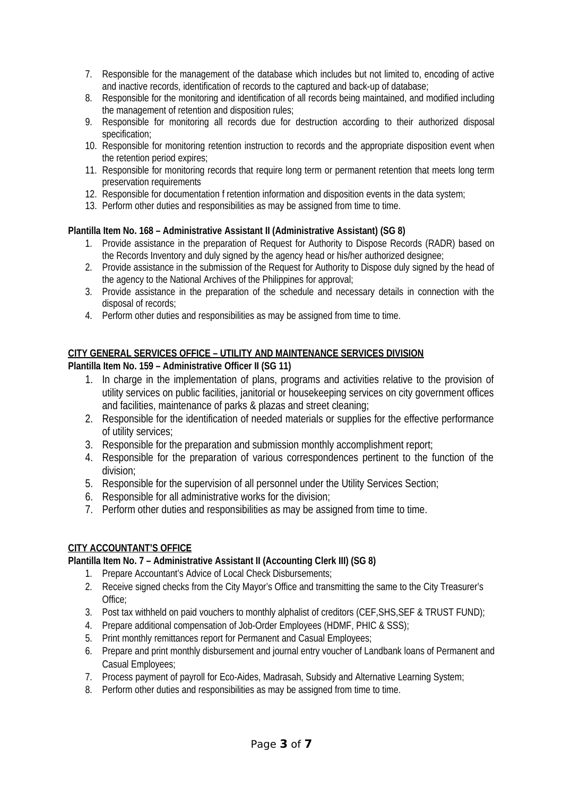- 7. Responsible for the management of the database which includes but not limited to, encoding of active and inactive records, identification of records to the captured and back-up of database;
- 8. Responsible for the monitoring and identification of all records being maintained, and modified including the management of retention and disposition rules;
- 9. Responsible for monitoring all records due for destruction according to their authorized disposal specification;
- 10. Responsible for monitoring retention instruction to records and the appropriate disposition event when the retention period expires;
- 11. Responsible for monitoring records that require long term or permanent retention that meets long term preservation requirements
- 12. Responsible for documentation f retention information and disposition events in the data system;
- 13. Perform other duties and responsibilities as may be assigned from time to time.

#### **Plantilla Item No. 168 – Administrative Assistant II (Administrative Assistant) (SG 8)**

- 1. Provide assistance in the preparation of Request for Authority to Dispose Records (RADR) based on the Records Inventory and duly signed by the agency head or his/her authorized designee;
- 2. Provide assistance in the submission of the Request for Authority to Dispose duly signed by the head of the agency to the National Archives of the Philippines for approval;
- 3. Provide assistance in the preparation of the schedule and necessary details in connection with the disposal of records;
- 4. Perform other duties and responsibilities as may be assigned from time to time.

## **CITY GENERAL SERVICES OFFICE – UTILITY AND MAINTENANCE SERVICES DIVISION**

## **Plantilla Item No. 159 – Administrative Officer II (SG 11)**

- 1. In charge in the implementation of plans, programs and activities relative to the provision of utility services on public facilities, janitorial or housekeeping services on city government offices and facilities, maintenance of parks & plazas and street cleaning;
- 2. Responsible for the identification of needed materials or supplies for the effective performance of utility services;
- 3. Responsible for the preparation and submission monthly accomplishment report;
- 4. Responsible for the preparation of various correspondences pertinent to the function of the division;
- 5. Responsible for the supervision of all personnel under the Utility Services Section;
- 6. Responsible for all administrative works for the division;
- 7. Perform other duties and responsibilities as may be assigned from time to time.

#### **CITY ACCOUNTANT'S OFFICE**

#### **Plantilla Item No. 7 – Administrative Assistant II (Accounting Clerk III) (SG 8)**

- 1. Prepare Accountant's Advice of Local Check Disbursements;
- 2. Receive signed checks from the City Mayor's Office and transmitting the same to the City Treasurer's Office;
- 3. Post tax withheld on paid vouchers to monthly alphalist of creditors (CEF,SHS,SEF & TRUST FUND);
- 4. Prepare additional compensation of Job-Order Employees (HDMF, PHIC & SSS);
- 5. Print monthly remittances report for Permanent and Casual Employees;
- 6. Prepare and print monthly disbursement and journal entry voucher of Landbank loans of Permanent and Casual Employees;
- 7. Process payment of payroll for Eco-Aides, Madrasah, Subsidy and Alternative Learning System;
- 8. Perform other duties and responsibilities as may be assigned from time to time.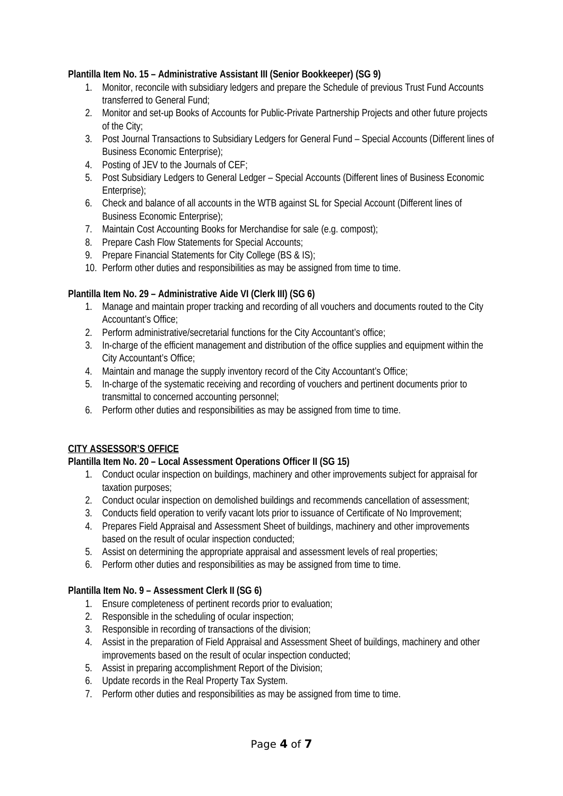### **Plantilla Item No. 15 – Administrative Assistant III (Senior Bookkeeper) (SG 9)**

- 1. Monitor, reconcile with subsidiary ledgers and prepare the Schedule of previous Trust Fund Accounts transferred to General Fund;
- 2. Monitor and set-up Books of Accounts for Public-Private Partnership Projects and other future projects of the City;
- 3. Post Journal Transactions to Subsidiary Ledgers for General Fund Special Accounts (Different lines of Business Economic Enterprise);
- 4. Posting of JEV to the Journals of CEF;
- 5. Post Subsidiary Ledgers to General Ledger Special Accounts (Different lines of Business Economic Enterprise);
- 6. Check and balance of all accounts in the WTB against SL for Special Account (Different lines of Business Economic Enterprise);
- 7. Maintain Cost Accounting Books for Merchandise for sale (e.g. compost);
- 8. Prepare Cash Flow Statements for Special Accounts;
- 9. Prepare Financial Statements for City College (BS & IS):
- 10. Perform other duties and responsibilities as may be assigned from time to time.

### **Plantilla Item No. 29 – Administrative Aide VI (Clerk III) (SG 6)**

- 1. Manage and maintain proper tracking and recording of all vouchers and documents routed to the City Accountant's Office;
- 2. Perform administrative/secretarial functions for the City Accountant's office;
- 3. In-charge of the efficient management and distribution of the office supplies and equipment within the City Accountant's Office;
- 4. Maintain and manage the supply inventory record of the City Accountant's Office;
- 5. In-charge of the systematic receiving and recording of vouchers and pertinent documents prior to transmittal to concerned accounting personnel;
- 6. Perform other duties and responsibilities as may be assigned from time to time.

#### **CITY ASSESSOR'S OFFICE**

## **Plantilla Item No. 20 – Local Assessment Operations Officer II (SG 15)**

- 1. Conduct ocular inspection on buildings, machinery and other improvements subject for appraisal for taxation purposes;
- 2. Conduct ocular inspection on demolished buildings and recommends cancellation of assessment;
- 3. Conducts field operation to verify vacant lots prior to issuance of Certificate of No Improvement;
- 4. Prepares Field Appraisal and Assessment Sheet of buildings, machinery and other improvements based on the result of ocular inspection conducted;
- 5. Assist on determining the appropriate appraisal and assessment levels of real properties;
- 6. Perform other duties and responsibilities as may be assigned from time to time.

#### **Plantilla Item No. 9 – Assessment Clerk II (SG 6)**

- 1. Ensure completeness of pertinent records prior to evaluation;
- 2. Responsible in the scheduling of ocular inspection;
- 3. Responsible in recording of transactions of the division;
- 4. Assist in the preparation of Field Appraisal and Assessment Sheet of buildings, machinery and other improvements based on the result of ocular inspection conducted;
- 5. Assist in preparing accomplishment Report of the Division;
- 6. Update records in the Real Property Tax System.
- 7. Perform other duties and responsibilities as may be assigned from time to time.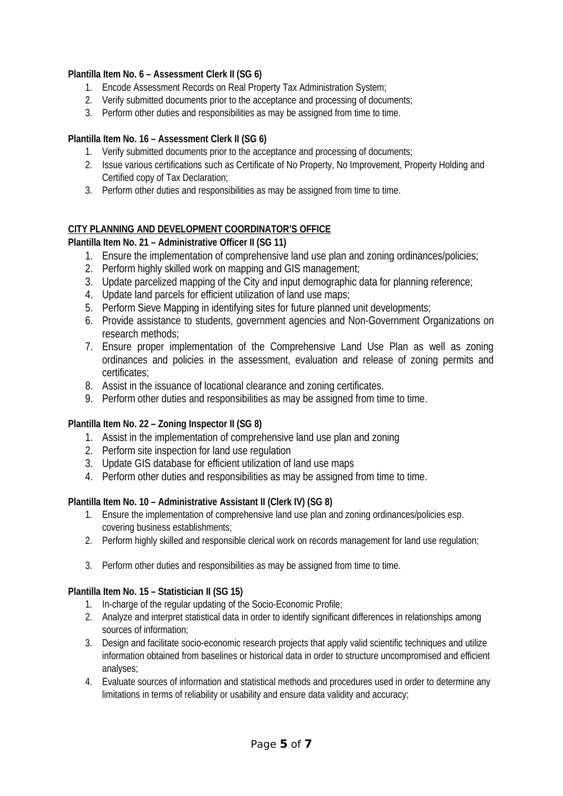### **Plantilla Item No. 6 – Assessment Clerk II (SG 6)**

- 1. Encode Assessment Records on Real Property Tax Administration System;
- 2. Verify submitted documents prior to the acceptance and processing of documents;
- 3. Perform other duties and responsibilities as may be assigned from time to time.

### **Plantilla Item No. 16 – Assessment Clerk II (SG 6)**

- 1. Verify submitted documents prior to the acceptance and processing of documents;
- 2. Issue various certifications such as Certificate of No Property, No Improvement, Property Holding and Certified copy of Tax Declaration;
- 3. Perform other duties and responsibilities as may be assigned from time to time.

### **CITY PLANNING AND DEVELOPMENT COORDINATOR'S OFFICE**

### **Plantilla Item No. 21 – Administrative Officer II (SG 11)**

- 1. Ensure the implementation of comprehensive land use plan and zoning ordinances/policies;
- 2. Perform highly skilled work on mapping and GIS management;
- 3. Update parcelized mapping of the City and input demographic data for planning reference;
- 4. Update land parcels for efficient utilization of land use maps;
- 5. Perform Sieve Mapping in identifying sites for future planned unit developments;
- 6. Provide assistance to students, government agencies and Non-Government Organizations on research methods;
- 7. Ensure proper implementation of the Comprehensive Land Use Plan as well as zoning ordinances and policies in the assessment, evaluation and release of zoning permits and certificates;
- 8. Assist in the issuance of locational clearance and zoning certificates.
- 9. Perform other duties and responsibilities as may be assigned from time to time.

#### **Plantilla Item No. 22 – Zoning Inspector II (SG 8)**

- 1. Assist in the implementation of comprehensive land use plan and zoning
- 2. Perform site inspection for land use regulation
- 3. Update GIS database for efficient utilization of land use maps
- 4. Perform other duties and responsibilities as may be assigned from time to time.

#### **Plantilla Item No. 10 – Administrative Assistant II (Clerk IV) (SG 8)**

- 1. Ensure the implementation of comprehensive land use plan and zoning ordinances/policies esp. covering business establishments;
- 2. Perform highly skilled and responsible clerical work on records management for land use regulation;
- 3. Perform other duties and responsibilities as may be assigned from time to time.

#### **Plantilla Item No. 15 – Statistician II (SG 15)**

- 1. In-charge of the regular updating of the Socio-Economic Profile;
- 2. Analyze and interpret statistical data in order to identify significant differences in relationships among sources of information;
- 3. Design and facilitate socio-economic research projects that apply valid scientific techniques and utilize information obtained from baselines or historical data in order to structure uncompromised and efficient analyses;
- 4. Evaluate sources of information and statistical methods and procedures used in order to determine any limitations in terms of reliability or usability and ensure data validity and accuracy;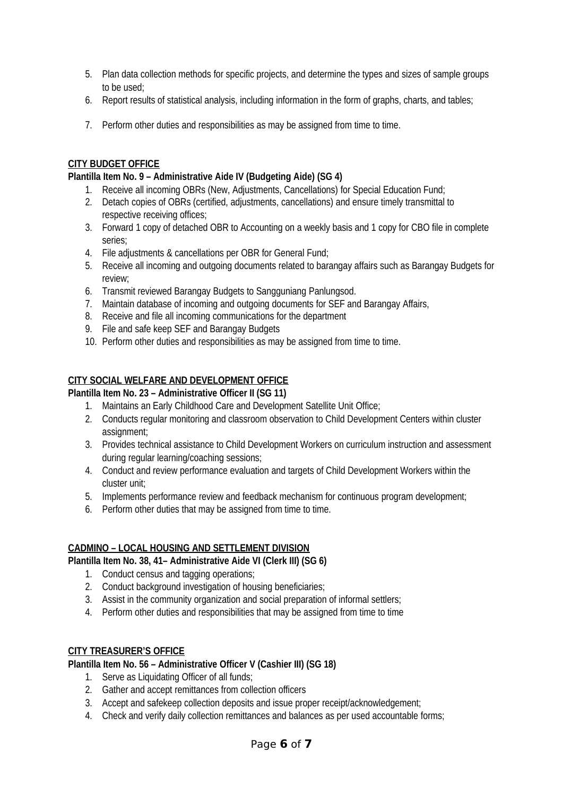- 5. Plan data collection methods for specific projects, and determine the types and sizes of sample groups to be used;
- 6. Report results of statistical analysis, including information in the form of graphs, charts, and tables;
- 7. Perform other duties and responsibilities as may be assigned from time to time.

## **CITY BUDGET OFFICE**

### **Plantilla Item No. 9 – Administrative Aide IV (Budgeting Aide) (SG 4)**

- 1. Receive all incoming OBRs (New, Adjustments, Cancellations) for Special Education Fund;
- 2. Detach copies of OBRs (certified, adjustments, cancellations) and ensure timely transmittal to respective receiving offices;
- 3. Forward 1 copy of detached OBR to Accounting on a weekly basis and 1 copy for CBO file in complete series;
- 4. File adjustments & cancellations per OBR for General Fund;
- 5. Receive all incoming and outgoing documents related to barangay affairs such as Barangay Budgets for review;
- 6. Transmit reviewed Barangay Budgets to Sangguniang Panlungsod.
- 7. Maintain database of incoming and outgoing documents for SEF and Barangay Affairs,
- 8. Receive and file all incoming communications for the department
- 9. File and safe keep SEF and Barangay Budgets
- 10. Perform other duties and responsibilities as may be assigned from time to time.

### **CITY SOCIAL WELFARE AND DEVELOPMENT OFFICE**

#### **Plantilla Item No. 23 – Administrative Officer II (SG 11)**

- 1. Maintains an Early Childhood Care and Development Satellite Unit Office;
- 2. Conducts regular monitoring and classroom observation to Child Development Centers within cluster assignment;
- 3. Provides technical assistance to Child Development Workers on curriculum instruction and assessment during regular learning/coaching sessions;
- 4. Conduct and review performance evaluation and targets of Child Development Workers within the cluster unit;
- 5. Implements performance review and feedback mechanism for continuous program development;
- 6. Perform other duties that may be assigned from time to time.

#### **CADMINO – LOCAL HOUSING AND SETTLEMENT DIVISION**

#### **Plantilla Item No. 38, 41– Administrative Aide VI (Clerk III) (SG 6)**

- 1. Conduct census and tagging operations;
- 2. Conduct background investigation of housing beneficiaries;
- 3. Assist in the community organization and social preparation of informal settlers;
- 4. Perform other duties and responsibilities that may be assigned from time to time

#### **CITY TREASURER'S OFFICE**

#### **Plantilla Item No. 56 – Administrative Officer V (Cashier III) (SG 18)**

- 1. Serve as Liquidating Officer of all funds;
- 2. Gather and accept remittances from collection officers
- 3. Accept and safekeep collection deposits and issue proper receipt/acknowledgement;
- 4. Check and verify daily collection remittances and balances as per used accountable forms;